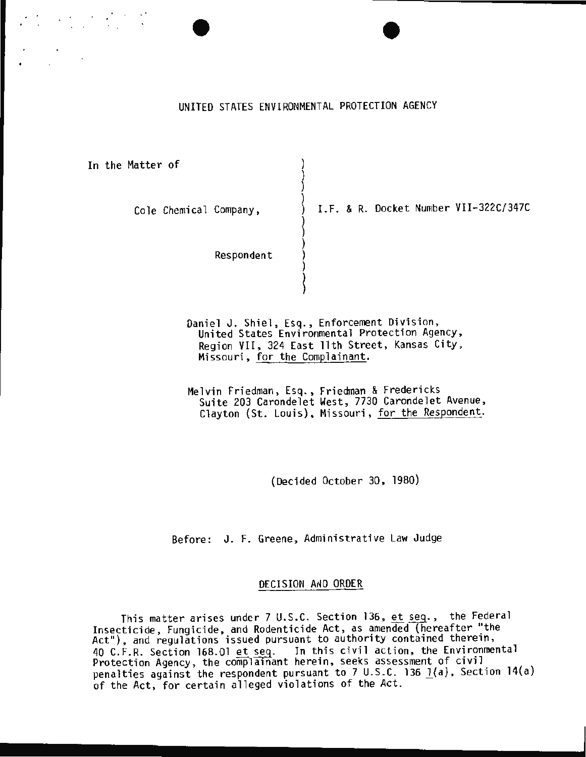UNITED STATES ENVIRONMENTAL PROTECTION AGENCY

 $\big\{$ 

 $\big\}$ ) )

~

In the Matter of )

Cole Chemical Company,  $\qquad \qquad$  ) I.F. & R. Docket Number VII-322C/347C

Respondent

Daniel J. Shiel, Esq., Enforcement Division, United States Environmental Protection Agency, Region VII, 324 East 11th Street, Kansas City , Missouri, for the Complainant.

Melvin Friedman, Esq., Friedman & Fredericks Suite 203 Carondelet West, 7730 Carondelet Avenue, Clayton (St. Louis), Missouri, for the Respondent.

(Decided October 30, 1980)

Before: J. F. Greene, Administrative Law Judge

### DECISION AND ORDER

This matter arises under 7 U.S.C. Section 136, et seq., the Federal Insecticide, Fungicide, and Rodenticide Act, as amended (hereafter "the Act"), and regulations issued pursuant to authority contained therein, 40 C.F.R. Section 168.01 et seq. In this civil action, the Environmental Protection Agency, the complainant herein, seeks assessment of civil penalties against the respondent pursuant to 7 U.S.C. 136  $1(a)$ , Section 14(a) of the Act, for certain alleged violations of the Act.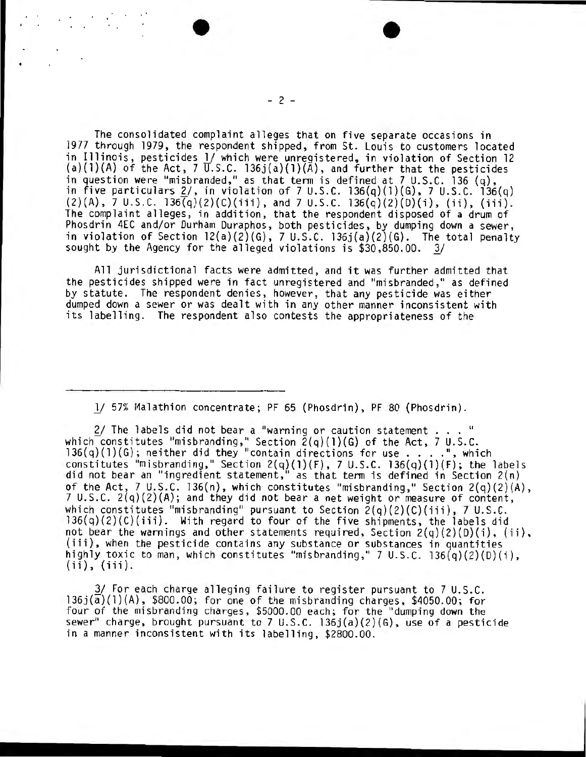The consolidated complaint alleges that on five separate occasions in 1977 through 1979, the respondent shipped, from St. Louis to customers located in Illinois, pesticides 1/ which were unregistered, in violation of Section 12 (a)(1)(A) of the Act, 7  $\overline{U}.S.C.$  136j(a)(1)( $\bar{A}$ ), and further that the pesticides in question were "misbranded," as that term is defined at 7 U.S.C. 136 (q), in five particulars 2/, in violation of 7 U.S.C. 136(q)(l)(G), 7 U.S.C. 136(q)  $(2)(A)$ , 7 U.S.C. 136(q)(2)(C)(iii), and 7 U.S.C. 136(q)(2)(D)(i), (ii), (iii). The complaint alleges, in addition, that the respondent disposed of a drum of Phosdrin 4EC and/or Durham Duraphos, both pesticides, by dumping down a sewer, in violation of Section  $12(a)(2)(G)$ , 7 U.S.C.  $136j(a)(2)(G)$ . The total penalty sought by the Agency for the alleged violations is \$30,850.00. *11* 

All jurisdictional facts were admitted, and it was further admitted that the pesticides shipped were in fact unregistered and "misbranded," as defined by statute. The respondent denies, however, that any pesticide was either dumped down a sewer or was dealt with in any other manner inconsistent with its labelling. The respondent also contests the appropriateness of the

1/ 57% Malathion concentrate; PF 65 (Phosdrin), PF 80 (Phosdrin).

2/ The labels did not bear a "warning or caution statement ... " which constitutes "misbranding," Section  $\bar{Z}(q)(1)(G)$  of the Act, 7 U.S.C. 136(q)(1)(G); neither did they "contain directions for use ....", which constitutes "misbranding," Section  $2(q)(1)(F)$ , 7 U.S.C. 136(q)(1)(F); the labels did not bear an "ingredient statement," as that term is defined in Section  $2(n)$ of the Act, 7 U.S.C. 136(n), which constitutes "misbranding," Section 2(q)(2)(A),<br>7 U.S.C. 2(q)(2)(A); and they did not bear a net weight or measure of content, which constitutes "misbranding" pursuant to Section  $2(q)(2)(C)(iii)$ , 7 U.S.C. 136(q)(2)(C)(iii). With regard to four of the five shipments, the labels did not bear the warnings and other statements required, Section  $2(q)(2)(0)(i)$ ,  $(ii)$ , (iii), when the pesticide contains any substance or substances in quantities highly toxic to man, which constitutes "misbranding," 7 U.S.C.  $136(q)(2)(D)(i)$ , (ii), (iii).

3/ For each charge alleging failure to register pursuant to 7 U.S.C.  $136j(\overline{a})(1)(A)$ , \$800.00; for one of the misbranding charges, \$4050.00; for four of the misbranding charges, \$5000.00 each; for the "dumping down the sewer" charge, brought pursuant to 7 U.S.C. 136j(a)(2)(G), use of a pesticide in a manner inconsistent with its labelling, \$2800.00.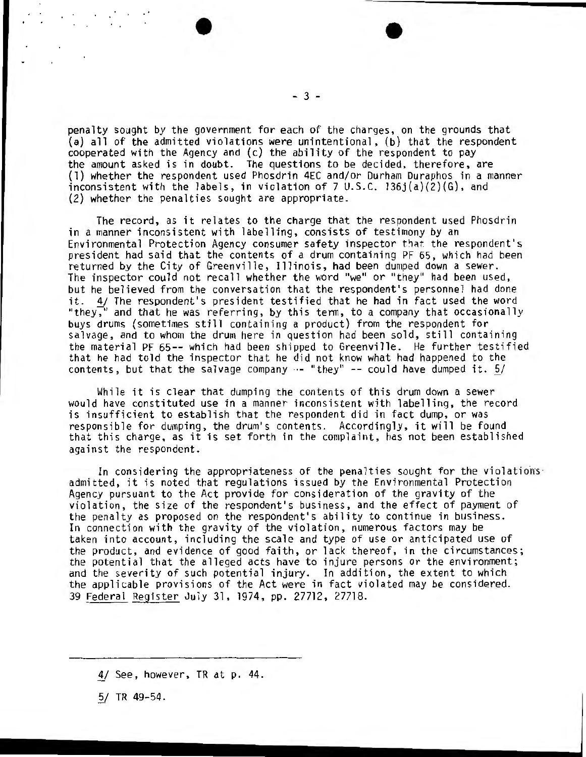$-3 -$ 

penalty sought by the government for each of the charges, on the grounds that (a) all of the admitted violations were unintentional, (b) that the respondent cooperated with the Agency and (c) the ability of the respondent to pay the amount asked is in doubt. The questions to be decided, therefore, are (1) whether the respondent used Phosdrin 4EC and/or Durham Duraphos in a manner inconsistent with the labels, in violation of 7 U.S.C. 136j(a)(2)(G), and (2} whether the penalties sought are appropriate.

The record, as it relates to the charge that the respondent used Phosdrin in a manner inconsistent with labelling, consists of testimony by an<br>Environmental Protection Agency consumer safety inspector that the respondent's president had said that the contents of a drum containing PF 65, which had been returned by the City of Greenville, Illinois, had been dumped down a sewer. The inspector could not recall whether the word "we" or "they" had been used, but he believed from the conversation that the respondent's personnel had done it.  $4/$  The respondent's president testified that he had in fact used the word<br>"they," and that he was referring, by this term, to a company that occasionally buys drums (sometimes still containing a product) from the respondent for salvage, and to whom the drum here in question had been sold, still containing the material PF 65 -- which had been shipped to Greenville. He further testified that he had told the inspector that he did not know what had happened to the contents, but that the salvage company  $-$  "they"  $-$  could have dumped it.  $5/$ 

While it is clear that dumping the contents of this drum down a sewer would have constituted use in a manner inconsistent with labelling, the record is insufficient to establish that the respondent did in fact dump, or was responsible for dumping, the drum's contents. Accordingly, it will be found that this charge, as it is set forth in the complaint, has not been established against the respondent.

In considering the appropriateness of the penalties sought for the violations·<br>admitted, it is noted that regulations issued by the Environmental Protection Agency pursuant to the Act provide for consideration of the gravity of the violation, the size of the respondent's business, and the effect of payment of the penalty as proposed on the respondent's ability to continue in business. In connection with the gravity of the violation, numerous factors may be taken into account, including the scale and type of use or anticipated use of the product, and evidence of good faith, or lack thereof, in the circumstances; the potential that the alleged acts have to injure persons or the environment; and the severity of such potential injury. In addition, the extent to which the applicable provisions of the Act were in fact violated may be considered. 39 Federal Register July 31, 1974, pp. 27712 , 27718.

 $5/TR$  49-54.

<sup>1/</sup> See , however, TR at p. 44.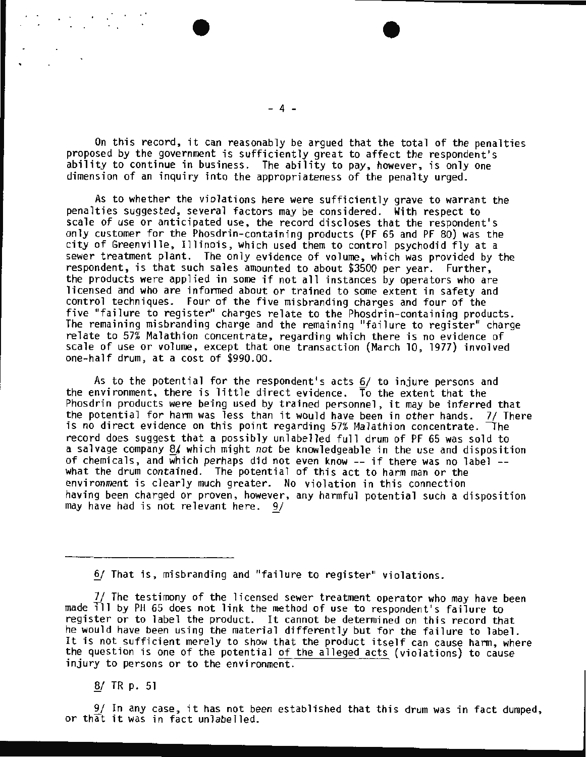On this record, it can reasonably be argued that the total of the penalties<br>proposed by the government is sufficiently great to affect the respondent's<br>ability to continue in business. The ability to pay, however, is only dimension of an inquiry into the appropriateness of the penalty urged.

As to whether the violations here were sufficiently grave to warrant the penalties suggested, several factors may be considered. With respect to scale of use or anticipated use, the record discloses that the respondent's only customer for the Phosdrin-containing products (PF 65 and PF 80) was the city of Greenvi lle, Il linois, which used them to control psychodid fly at a sewer treatment plant. The only evidence of volume, which was provided by the respondent, is that such sales amounted to about \$3500 per year. Further, the products were applied in some if not all instances by operators who are licensed and who are informed about or trained to some extent in safety and control techniques. Four of the five misbranding charges and four of the five "failure to register" charges relate to the Phosdrin-containing products.<br>The remaining misbranding charge and the remaining "failure to register" charge relate to  $57\%$  Malathion concentrate, regarding which there is no evidence of scale of use or volume, except that one transaction (March 10, 1977) involved one-half drum, at a cost of \$990.00.

As to the potential for the respondent's acts 6/ to injure persons and the environment, there is little direct evidence. To the extent that the Phosdrin products were being used by trained personnel, it may be inferred that the potential for harm was less than it would have been in other hands. 7/ There is no direct evidence on this point regarding  $57\%$  Malathion concentrate. The record does suggest that a possibly unlabelled full drum of PF 65 was sold to a sal vage company *Bt* which might not be knowledgeable in the use and disposition of chemica ls, and which perhaps did not even know -- if there was no label -- what the drum conta ined. The potential of th is act to harm man or the environment is clearly much greater. No violation in this connection having been charged or proven, however, any harmful potential such a disposition may have had is not relevant here. *2f* 

6/ That is, misbranding and "failure to register" violations.

*71* The testimony of the l icensed sewer treatment operator who may have been made 111 by PH 65 does not link the method of use to respondent's failure to register or to label the product. It cannot be determined on this record that he would have been using the material differently but for the failure to label. It is not sufficient merely to show that the product itself can cause harm, where the question is one of the potential of the alleged acts (violations) to cause injury to persons or to the environment.

~ TR p. 51

9/ In any case, it has not been established that this drum was in fact dumped, or that it was in fact unlabelled.

 $-4 -$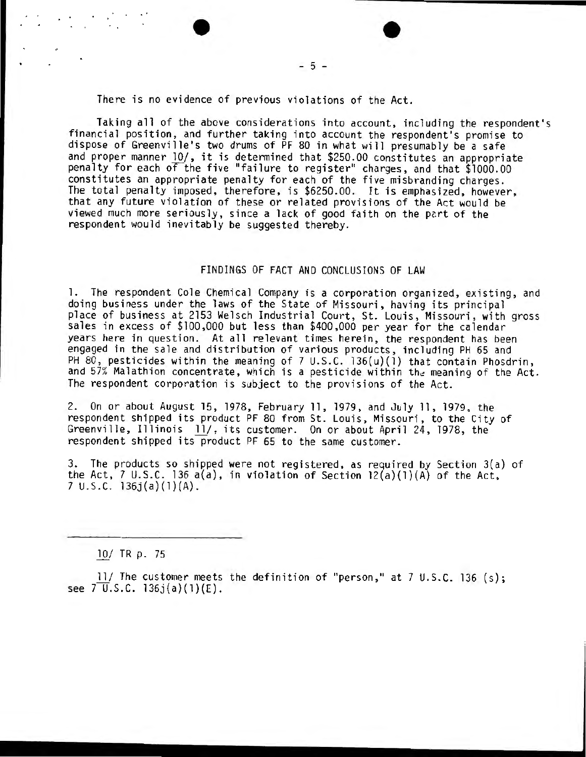There is no evidence of previous violations of the Act.

Taking all of the above considerations into account, including the respondent's financial position, and further taking into account the respondent's promise to dispose of Greenville's two drums of PF 80 in what will presumably be a safe<br>and proper manner 10/, it is determined that \$250.00 constitutes an appropriate penalty for each of the five "failure to register" charges, and that \$1000.00 constitutes an appropriate penalty for each of the five misbranding charges. The total penalty imposed, therefore, is \$6250.00. It is emphasized, however, that any future violation of these or related provisions of the Act would be viewed much more seriously, since a lack of good faith on the part of the respondent would inevitably be suggested thereby.

- 5 -

## FINDINGS OF FACT AND CONCLUSIONS OF LAW

l. The respondent Cole Chemical Company is a corporation organized, existing, and doing business under the laws of the State of Missouri, having its principal place of business at 2153 Welsch Industrial Court, St. Louis, Missouri, with gross sales in excess of \$100,000 but less than \$400,000 per year for the calendar years here in question. At all relevant times herein, the respondent has been engaged in the sale and distribution of various products, including PH 65 and PH 80, pesticides within the meaning of 7 U.S.C. 136(u)(1) that contain Phosdrin, and 57% Malathion concentrate, which is a pesticide within the meaning of the Act. The respondent corporation is subject to the provisions of the Act.

2. On or about August 15, 1978, February 11, 1979, and July ll, 1979, the respondent shipped its product PF 80 from St. Louis, Missouri, to the City of Greenville, Illinois 11/, its customer. On or about April 24, 1978, the respondent shipped its product PF 65 to the same customer.

3. The products so shipped were not registered, as required by Section  $3(a)$  of the Act, 7 U.S.C. 136 a(a), in violation of Section  $12(a)(1)(A)$  of the Act, 7 U.S.C.  $136j(a)(1)(A)$ .

 $10/$  TR p. 75

11/ The customer meets the definition of "person," at  $7 \text{ U.S.C. } 136 \text{ (s)}$ ; see  $7 \mathrm{U.S.C.}$  136j(a)(1)(E).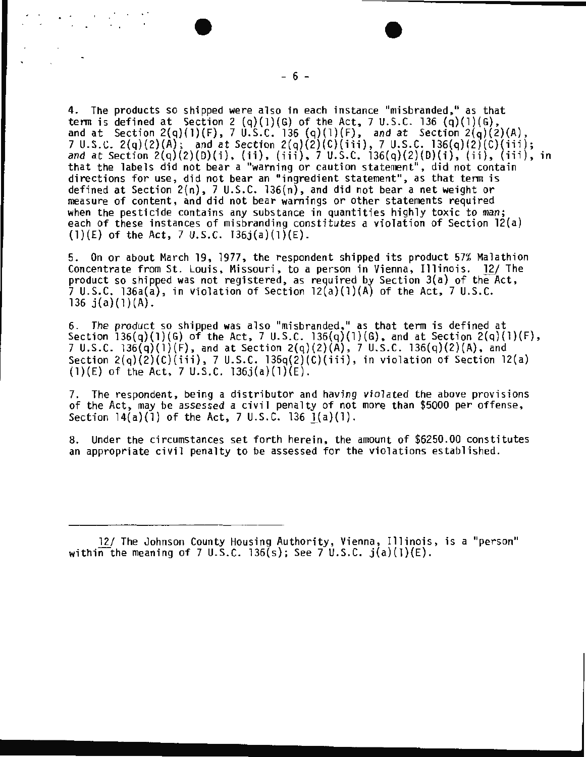4. The products so shipped were also in each instance "misbranded, " as that term is defined at Section 2 (q)( l)(G) of the Act, 7 U.S.C. 136 (q)(l)(G), and at Section 2(q)( l)(F) , 7 U.S.C. 136 (q)(l)(F), and at Section 2( q)(2)(A), 7 U. S.C. 2(q)(2)(A); and at Section 2(q)(2)(C)(iii), 7 U.S.C. 136(q)(2)(C)(iii); and at Section 2(q)(2)(D)(i), (ii ), (iii), 7 U.S.C. 136{q) (2)(D)( i), (ii), (iii), in and at Section  $2(q)(2)(D)(1)$ , (ii), (iii), 7 U.S.C. 136(q)(2)(D)(i), (ii), (iii), in<br>that the labels did not bear a "warning or caution statement", did not contain directions for use, did not bear an "ingredient statement", as that term is defined at Section 2(n), 7 U.S.C. 136(n), and did not bear a net weight or measure of content, and did not bear warnings or other statements required when the pesticide contains any substance in quantities highly toxic to man; each of these instances of misbranding constitutes a violation of Section 12(a) (1)(E) of the Act, 7 U.S.C.  $136j(a)(1)(E)$ .

5. On or about March 19, 1977, the respondent shipped its product 57% Malathion Concentrate from St. Louis, Missouri, to a person in Vienna, Illinois. 12/ The product so shipped was not registered, as required by Section  $3(a)$  of the Act, 7 U.S.C. 136a(a), in violation of Section  $12(a)(1)(A)$  of the Act, 7 U.S.C. 136  $j(a)(1)(A)$ .

6. The product so shipped was also "misbranded, " as that term is defined at Section  $136(q)(1)(G)$  of the Act, 7 U.S.C.  $136(q)(1)(G)$ , and at Section  $2(q)(1)(F)$ , 7 U.S.C. 136(q){l)(F), and at Section 2(q){2)(A), 7 U.S.C. 136(q){2)(A), and Section  $2(q)(2)(C)(iii)$ , 7 U.S.C. 136q $(2)(C)(iii)$ , in violation of Section 12 $(a)$ (1)(E) of the Act, 7 U.S.C. 136 $j(a)(1)(E)$ .

7. The respondent, being a distributor and having violated the above provisions<br>of the Act, may be assessed a civil penalty of not more than \$5000 per offense, Section  $14(a)(1)$  of the Act, 7 U.S.C. 136  $1(a)(1)$ .

8. Under the circumstances set forth herein, the amount of \$6250.00 constitutes an appropriate civil penalty to be assessed for the violations established.

<sup>12/</sup> The Johnson County Housing Authority, Vienna, Illinois, is a "person" within the meaning of 7 U.S.C. 136(s); See 7 U.S.C.  $j(a)(1)(E)$ .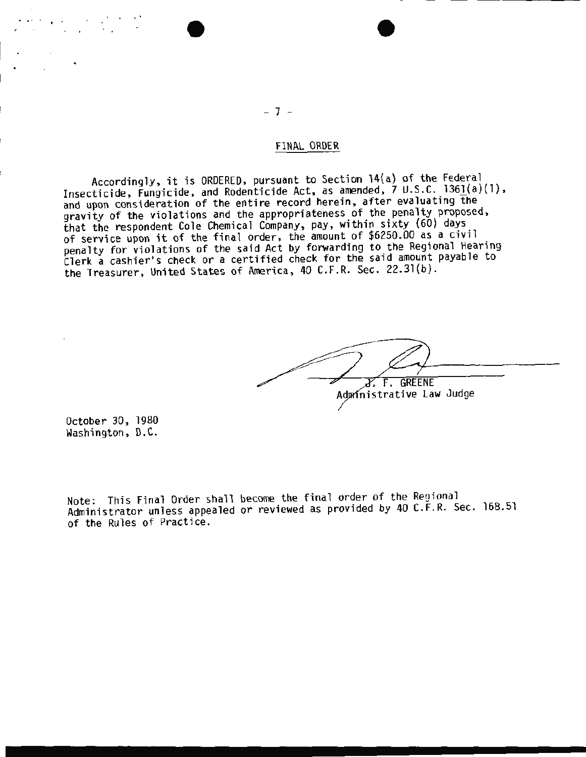## FINAL ORDER

Accordingly, it is ORDERED, pursuant to Section 14(a) of the Federal Insecticide, Fungicide, and Rodenticide Act, as amended, 7 U.S.C. 1361(a}(l}, and upon consideration of the entire record herein, after evaluating the gravity of the violations and the appropriateness of the penalty proposed, that the respondent Cole Chemical Company, pay, within sixty (60) days of service upon it of the final order, the amount of \$6250.00 as a civil<br>penalty for violations of the said Act by forwarding to the Regional Hearing persons of the Regional ty for violations of the regional Hearing Cl erk a cashier•s check or a certified check for the said amount payable to the Treasurer, United States of America, 40 C.F.R. Sec. 22.31(b) .

 $X. F. GREENE$ Administrative Law Judge

October 30, 1980 Washington, D.C.

Note: This Final Order shall become the final order of the Regional Administrator unless appealed or reviewed as provided by 40 C.F.R. Sec. 168.51 of the Rules of Practice.

- 7 -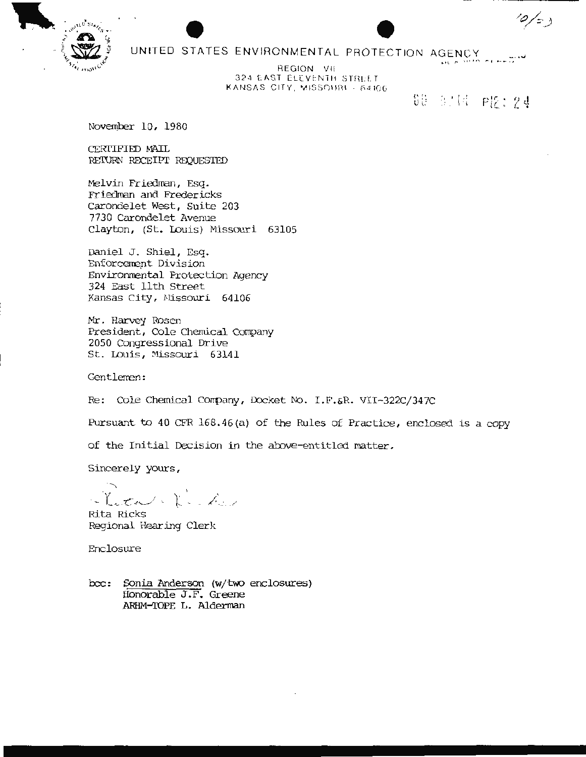

# UNITED STATES ENVIRONMENTAL PROTECTION AGENCY

REGION VII 324 EAST ELEVENTH STREET KANSAS CITY, MISSOURI - 64106

60 的国 PI2:24

 $\frac{1}{2}$ 

November 10, 1980

CERTIFIED MAIL RETURN RECEIPT REQUESTED

Melvin Friedman, Esq. Friedman and Fredericks Carondelet West, Suite 203 7730 Carondelet Avenue Clayton, (St. Louis) Missouri 63105

Daniel J. Shiel, Esq. Enforcement Division Environmental Protection Agency 324 East 11th Street Kansas City, Missouri 64106

Mr. Harvey Rosen President, Cole Chemical Company 2050 Congressional Drive St. Louis, Missouri 63141

Gentlemen:

Re: Cole Chemical Company, Docket No. I.F.&R. VII-322C/347C

Pursuant to 40 CFR 168.46(a) of the Rules of Practice, enclosed is a copy

of the Initial Decision in the above-entitled matter.

Sincerely yours,

Fetale Redes

Rita Ricks Regional Hearing Clerk

Enclosure

Sonia Anderson (w/two enclosures)  $bcc:$ Honorable J.F. Greene ARHM-TOPE L. Alderman